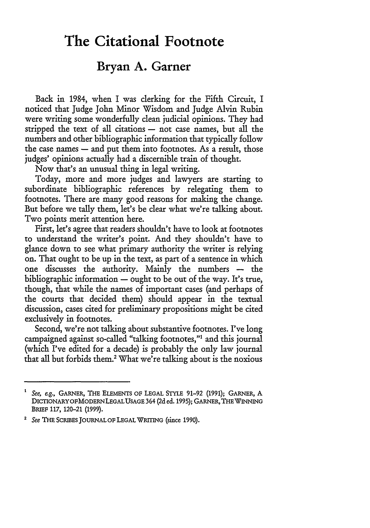# **The Citational Footnote**

### **Bryan A. Garner**

Back in 1984, when I was clerking for the Fifth Circuit, I noticed that Judge John Minor Wisdom and Judge Alvin Rubin were writing some wonderfully clean judicial opinions. They had stripped the text of all citations **-** not case names, but all the numbers and other bibliographic information that typically follow the case names  $-$  and put them into footnotes. As a result, those judges' opinions actually had a discernible train of thought.

Now that's an unusual thing in legal writing.

Today, more and more judges and lawyers are starting to subordinate bibliographic references by relegating them to footnotes. There are many good reasons for making the change. But before we tally them, let's be dear what we're talking about. Two points merit attention here.

First, let's agree that readers shouldn't have to look at footnotes to understand the writer's point. And they shouldn't have to glance down to see what primary authority the writer is relying on. That ought to be up in the text, as part of a sentence in which one discusses the authority. Mainly the numbers **-** the bibliographic information **-** ought to be out of the way. It's true, though, that while the names of important cases (and perhaps of the courts that decided them) should appear in the textual discussion, cases cited for preliminary propositions might be cited exclusively in footnotes.

Second, we're not talking about substantive footnotes. I've long campaigned against so-called "talking footnotes,"' and this journal (which I've edited for a decade) is probably the only law journal that all but forbids them.2 What we're talking about is the noxious

See, e.g., GARNER, THE ELEMENTS OF LEGAL STYLE **91-92 (1991);** GARNER, A DIcTIONARYOFMODERNLEGALUSAGE 364 (2d ed. 1995); GARNER, THEWINNING BRIEF 117, 120-21 (1999).

**<sup>2</sup>** See THE ScRIBEs JOURNAL OF **LEGAL** WRITING (since 1990).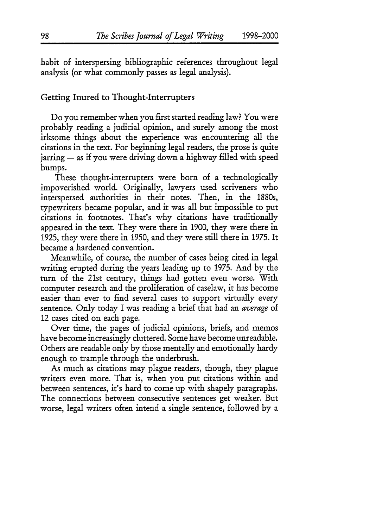habit of interspersing bibliographic references throughout legal analysis (or what commonly passes as legal analysis).

#### Getting Inured to Thought-Interrupters

Do you remember when you first started reading law? You were probably reading a judicial opinion, and surely among the most irksome things about the experience was encountering all the citations in the text. For beginning legal readers, the prose is quite  $jarring - as if you were driving down a highway filled with speed$ bumps.

These thought-interrupters were born of a technologically impoverished world. Originally, lawyers used scriveners who interspersed authorities in their notes. Then, in the 1880s, typewriters became popular, and it was all but impossible to put citations in footnotes. That's why citations have traditionally appeared in the text. They were there in 1900, they were there in 1925, they were there in 1950, and they were still there in 1975. It became a hardened convention.

Meanwhile, of course, the number of cases being cited in legal writing erupted during the years leading up to 1975. And by the turn of the 21st century, things had gotten even worse. With computer research and the proliferation of caselaw, it has become easier than ever to find several cases to support virtually every sentence. Only today I was reading a brief that had an *average* of 12 cases cited on each page.

Over time, the pages of judicial opinions, briefs, and memos have become increasingly cluttered. Some have become unreadable. Others are readable only by those mentally and emotionally hardy enough to trample through the underbrush.

As much as citations may plague readers, though, they plague writers even more. That is, when you put citations within and between sentences, it's hard to come up with shapely paragraphs. The connections between consecutive sentences get weaker. But worse, legal writers often intend a single sentence, followed by a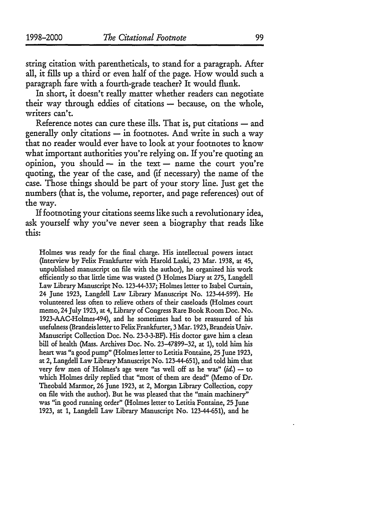string citation with parentheticals, to stand for a paragraph. After all, it fills up a third or even half of the page. How would such a paragraph fare with a fourth-grade teacher? It would flunk.

In short, it doesn't really matter whether readers can negotiate their way through eddies of citations  $-$  because, on the whole, writers can't.

Reference notes can cure these ills. That is, put citations **-** and generally only citations  $-$  in footnotes. And write in such a way that no reader would ever have to look at your footnotes to know what important authorities you're relying on. If you're quoting an opinion, you should  $-$  in the text  $-$  name the court you're quoting, the year of the case, and (if necessary) the name of the case. Those things should be part of your story line. Just get the numbers (that is, the volume, reporter, and page references) out of the way.

If footnoting your citations seems like such a revolutionary idea, ask yourself why you've never seen a biography that reads like this:

Holmes was ready for the final charge. His intellectual powers intact (Interview by Felix Frankfurter with Harold Laski, 23 Mar. 1938, at 45, unpublished manuscript on file with the author), he organized his work efficiently so that little time was wasted (3 Holmes Diary at 275, Langdell Law Library Manuscript No. 123-44-337; Holmes letter to Isabel Curtain, 24 June 1923, Langdell Law Library Manuscript No. 123-44-599). He volunteered less often to relieve others of their caseloads (Holmes court memo, 24 July 1923, at 4, Library of Congress Rare Book Room Doc. No. 1923-AAC-Holmes-494), and he sometimes had to be reassured of his usefulness (Brandeis letter to Felix Frankfurter, 3 Mar. 1923, Brandeis Univ. Manuscript Collection Doc. No. 23-3-3-BF). His doctor gave him a clean bill of health (Mass. Archives Doc. No. 23-47899-32, at 1), told him his heart was "a good pump" (Holmes letter to Letitia Fontaine, 25 June 1923, at 2, Langdel Law Library Manuscript No. 123-44-651), and told him that very few men of Holmes's age were "as well off as he was" *(id.)* - to which Holmes drily replied that "most of them are dead" (Memo of Dr. Theobald Marmor, 26 June 1923, at 2, Morgan Library Collection, copy on file with the author). But he was pleased that the "main machinery" was "in good running order" (Holmes letter to Letitia Fontaine, 25 June 1923, at 1, Langdell Law Library Manuscript No. 123-44-651), and he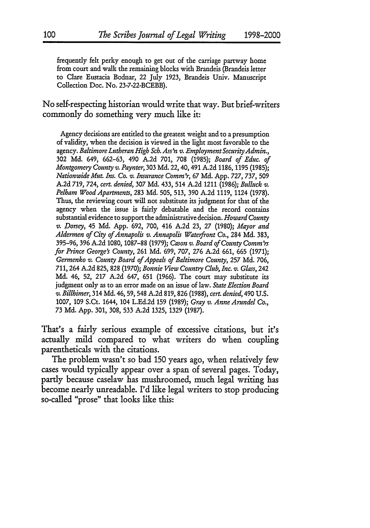frequently felt perky enough to get out of the carriage partway home from court and walk the remaining blocks with Brandeis (Brandeis letter to Clare Eustacia Bodnar, 22 July **1923,** Brandeis Univ. Manuscript Collection Doc. No. 23-7-22-BCEBB).

No self-respecting historian would write that way. But brief-writers commonly do something very much like it:

Agency decisions are entitled to the greatest weight and to a presumption of validity, when the decision is viewed in the light most favorable to the agency. *Baltimore Lutheran High Sch. Ass'n v. Employment Security Admin.,* **302 Md.** 649, 662-63, 490 A.2d 701, 708 (1985); *Board of Educ. of Montgomery Countyv. Paynter,* 303 Md. 22, 40, 491 A.2d 1186, 1195 **(1985);** *Nationwide Mut. Ins. Co. v. Insurance Comm'r,* 67 **Md.** App. 727, *737,* **509** A.2d 719, 724, *cert. denied,* **307 Md.** 433, 514 A.2d 1211 (1986); *Bulluck v. Pelham Wood Apartments,* 283 **Md.** 505, 513, **390** A.2d **1119,** 1124 (1978). Thus, the reviewing court will not substitute its judgment for that of the agency when the issue is fairly debatable and the record contains substantial evidence to support the administrative decision. *Howard County v. Dorsey,* 45 **Md.** App. 692, 700, 416 A.2d **23,** 27 (1980); *Mayor and Aldermen of City of Annapolis v. Annapolis Waterfront Co.,* 284 **Md. 383, 395-96, 396** A.2d 1080, 1087-88 **(1979);** *Cason v. Board of County Comm'rs for Prince George' County,* 261 **Md. 699,** 707, 276 A.2d 661, **665** (1971); *Germenko v. County Board of Appeals of Baltimore County,* **257 Md.** 706, 711, 264 A.2d 825, 828 (1970); *Bonnie View Country Club, Inc. v. Glass,* 242 **Md.** 46, **52,** 217 A.2d 647, **651** (1966). The court may substitute its judgment only as to an error made on an issue of law. *State Election Board v. Billhimer,* 314 **Md.** 46, **59,** 548 A.2d 819, 826 (1988), *cert. denied,* 490 U.S. 1007, **109** S.Ct. 1644, 104 L.Ed.2d **159 (1989);** *Gray v. Anne Arundel Co.,* 73 Md. App. 301, 308, 533 A.2d 1325, 1329 (1987).

That's a fairly serious example of excessive citations, but it's actually mild compared to what writers do when coupling parentheticals with the citations.

The problem wasn't so bad 150 years ago, when relatively few cases would typically appear over a span of several pages. Today, partly because caselaw has mushroomed, much legal writing has become nearly unreadable. I'd like legal writers to stop producing so-called "prose" that looks like this: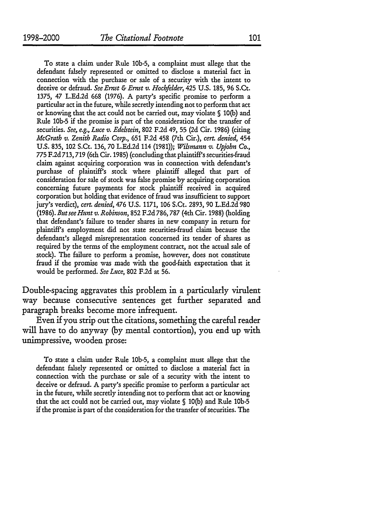To state a claim under Rule 10b-5, a complaint must allege that the defendant falsely represented or omitted to disclose a material fact in connection with the purchase or sale of a security with the intent to deceive or defraud. *See Ernst & Ernst v. Hochfelder,* 425 U.S. 185, 96 S.Ct. 1375, 47 L.Ed.2d 668 (1976). A party's specific promise to perform a particular act in the future, while secretly intending not to perform that act or knowing that the act could not be carried out, may violate **S** 10(b) and Rule **10b-5** if the promise is part of the consideration for the transfer of securities. *See, e.g., Luce v. Edelstein,* 802 F.2d 49, 55 (2d Cir. 1986) (citing *McGrath v. Zenith Radio Corp.,* **651** F.2d 458 (7th Cir.), *cert. denied,* 454 U.S. 835, 102 S.Ct. 136, 70 L.Ed.2d 114 (1981)); *Wilsmann v. Upjohn Co.,* 775 F.2d 713,719 (6th Cir. 1985) (concluding that plaintiff's securities-fraud claim against acquiring corporation was in connection with defendant's purchase of plaintiff's stock where plaintiff alleged that part of consideration for sale of stock was false promise by acquiring corporation concerning future payments for stock plaintiff received in acquired corporation but holding that evidence of fraud was insufficient to support jury's verdict), *cert. denied,* 476 U.S. **1171, 106** S.Ct. 2893, 90 L.Ed.2d 980 (1986). *ButseeHunt v. Robinson,* 852 F.2d 786,787 (4th Cir. 1988) (holding that defendant's failure to tender shares in new company in return for plaintiff's employment did not state securities-fraud claim because the defendant's alleged misrepresentation concerned its tender of shares as required by the terms of the employment contract, not the actual sale of stock). The failure to perform a promise, however, does not constitute fraud if the promise was made with the good-faith expectation that it would be performed. *See Luce,* 802 F.2d at 56.

Double-spacing aggravates this problem in a particularly virulent way because consecutive sentences get further separated and paragraph breaks become more infrequent.

Even if you strip out the citations, something the careful reader will have to do anyway (by mental contortion), you end up with unimpressive, wooden prose:

To state a claim under Rule **lob-5,** a complaint must allege that the defendant falsely represented or omitted to disclose a material fact in connection with the purchase or sale of a security with the intent to deceive or defraud. A party's specific promise to perform a particular act in the future, while secretly intending not to perform that act or knowing that the act could not be carried out, may violate **§** 10(b) and Rule **10b-5** if the promise is part of the consideration for the transfer of securities. The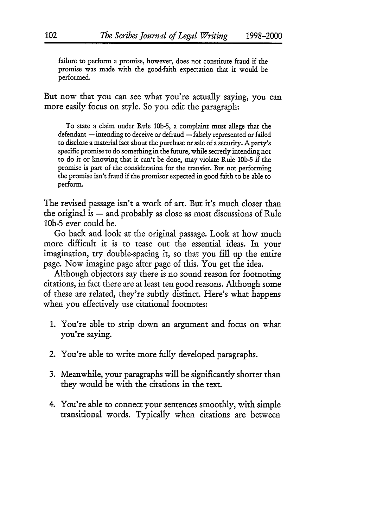failure to perform a promise, however, does not constitute fraud if the promise was made with the good-faith expectation that it would be performed.

But now that you can see what you're actually saying, you can more easily focus on style. So you edit the paragraph:

To state a claim under Rule **10b-5,** a complaint must allege that the defendant - intending to deceive or defraud - falsely represented or failed to disclose a material fact about the purchase or sale of a security. A party's specific promise to do something in the future, while secretly intending not to do it or knowing that it can't be done, may violate Rule **lob-5** if the promise is part of the consideration for the transfer. But not performing the promise isn't fraud if the promisor expected in good faith to be able to perform.

The revised passage isn't a work of art. But it's much closer than  $the original is - and probably as close as most discussions of Rule$ **10b-5** ever could be.

Go back and look at the original passage. Look at how much more difficult it is to tease out the essential ideas. In your imagination, try double-spacing it, so that you fill up the entire page. Now imagine page after page of this. You get the idea.

Although objectors say there is no sound reason for footnoting citations, in fact there are at least ten good reasons. Although some of these are related, they're subtly distinct. Here's what happens when you effectively use citational footnotes:

- 1. You're able to strip down an argument and focus on what you're saying.
- 2. You're able to write more fully developed paragraphs.
- 3. Meanwhile, your paragraphs will be significantly shorter than they would be with the citations in the text.
- 4. You're able to connect your sentences smoothly, with simple transitional words. Typically when citations are between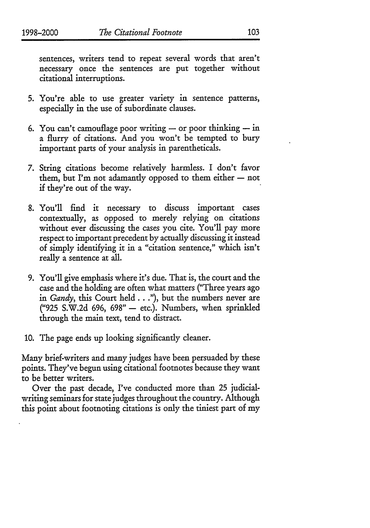sentences, writers tend to repeat several words that aren't necessary once the sentences are put together without citational interruptions.

- 5. You're able to use greater variety in sentence patterns, especially in the use of subordinate clauses.
- 6. You can't camouflage poor writing **-** or poor thinking **-** in a flurry of citations. And you won't be tempted to bury important parts of your analysis in parentheticals.
- *7.* String citations become relatively harmless. I don't favor them, but I'm not adamantly opposed to them either **-** not if they're out of the way.
- 8. You'll find it necessary to discuss important cases contextually, as opposed to merely relying on citations without ever discussing the cases you cite. You'll pay more respect to important precedent by actually discussing it instead of simply identifying it in a "citation sentence," which isn't really a sentence at all.
- **9.** You'll give emphasis where it's due. That is, the court and the case and the holding are often what matters ("Three years ago *in Gandy,* this Court held.. **."),** but the numbers never are ("925 S.W.2d 696, 698" **-** etc.). Numbers, when sprinkled through the main text, tend to distract.
- 10. The page ends up looking significantly cleaner.

Many brief-writers and many judges have been persuaded by these points. They've begun using citational footnotes because they want to be better writers.

Over the past decade, I've conducted more than 25 judicialwriting seminars for state judges throughout the country. Although this point about footnoting citations is only the tiniest part of my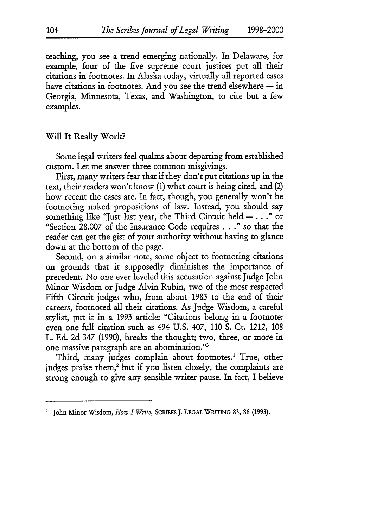teaching, you see a trend emerging nationally. In Delaware, for example, four of the five supreme court justices put all their citations in footnotes. In Alaska today, virtually all reported cases have citations in footnotes. And you see the trend elsewhere  $-$  in Georgia, Minnesota, Texas, and Washington, to cite but a few examples.

#### Will It Really Work?

Some legal writers feel qualms about departing from established custom. Let me answer three common misgivings.

First, many writers fear that if they don't put citations up in the text, their readers won't know (1) what court is being cited, and (2) how recent the cases are. In fact, though, you generally won't be footnoting naked propositions of law. Instead, you should say something like "Just last year, the Third Circuit held  $- \ldots$ " or "Section 28.007 of the Insurance Code requires . . ." so that the reader can get the gist of your authority without having to glance down at the bottom of the page.

Second, on a similar note, some object to footnoting citations on grounds that it supposedly diminishes the importance of precedent. No one ever leveled this accusation against Judge John Minor Wisdom or Judge Alvin Rubin, two of the most respected Fifth Circuit judges who, from about 1983 to the end of their careers, footnoted all their citations. As Judge Wisdom, a careful stylist, put it in a **1993** article: "Citations belong in a footnote: even one **full** citation such as 494 U.S. 407, 110 **S.** Ct. 1212, 108 L. Ed. 2d 347 (1990), breaks the thought; two, three, or more in one massive paragraph are an abomination."<sup>3</sup>

Third, many judges complain about footnotes.' True, other judges praise them,<sup>2</sup> but if you listen closely, the complaints are strong enough to give any sensible writer pause. In fact, I believe

<sup>&</sup>lt;sup>3</sup> John Minor Wisdom, *How I Write*, SCRIBES J. LEGAL WRITING 83, 86 (1993).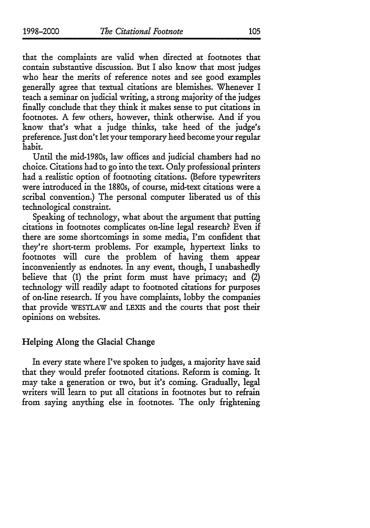that the complaints are valid when directed at footnotes that contain substantive discussion. But I also know that most judges who hear the merits of reference notes and see good examples generally agree that textual citations are blemishes. Whenever I teach a seminar on judicial writing, a strong majority of the judges finally conclude that they think it makes sense to put citations in footnotes. A few others, however, think otherwise. And if you know that's what a judge thinks, take heed of the judge's preference. Just don't let your temporary heed become your regular habit.

Until the mid-1980s, law offices and judicial chambers had no choice. Citations had to go into the text. Only professional printers had a realistic option of footnoting citations. (Before typewriters were introduced in the 1880s, of course, mid-text citations were a scribal convention.) The personal computer liberated us of this technological constraint.

Speaking of technology, what about the argument that putting citations in footnotes complicates on-line legal research? Even if there are some shortcomings in some media, I'm confident that they're short-term problems. For example, hypertext links to footnotes will cure the problem of having them appear inconveniently as endnotes. In any event, though, I unabashedly believe that (1) the print form must have primacy; and (2) technology will readily adapt to footnoted citations for purposes of on-line research. If you have complaints, lobby the companies that provide WESTLAW and LEXIS and the courts that post their opinions on websites.

#### Helping Along the Glacial Change

In every state where I've spoken to judges, a majority have said that they would prefer footnoted citations. Reform is coming. It may take a generation or two, but it's coming. Gradually, legal writers will learn to put all citations in footnotes but to refrain from saying anything else in footnotes. The only frightening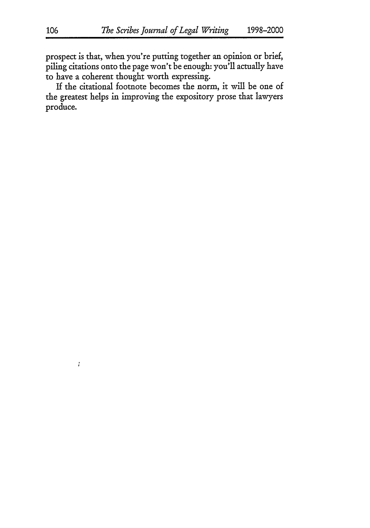prospect is that, when you're putting together an opinion or brief, piling citations onto the page won't be enough: you'll actually have to have a coherent thought worth expressing.

If the citational footnote becomes the norm, it will be one of the greatest helps in improving the expository prose that lawyers produce.

 $\mathbf{r}$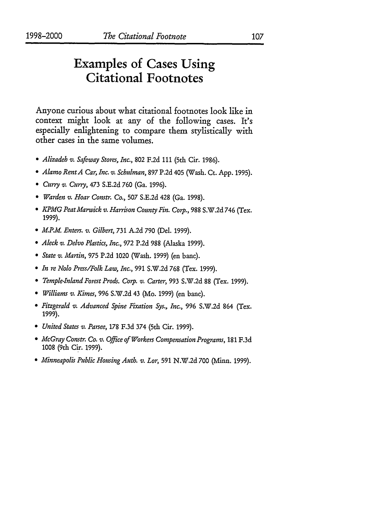#### 107

## **Examples of Cases Using Citational Footnotes**

Anyone curious about what citational footnotes look like in context might look at any of the following cases. It's especially enlightening to compare them stylistically with other cases in the same volumes.

- *\* Alizadeb v. Safeway Stores, Inc.,* 802 F.2d 111 (5th Cir. 1986).
- *\* Alamo RentA Car, Inc. v. Schulman,* **897** P.2d 405 (Wash. Ct. App. 1995).
- *\* Curry v. Curry,* 473 S.E.2d **760** (Ga. 1996).
- *\* Warden v. Hoar Constr. Co.,* 507 S.E.2d 428 (Ga. 1998).
- *\* KPMG PeatMawick v. Harrison County Fin. Corp.,* **988** S.W.2d 746 (Tex. 1999).
- *\* MPM. Enters. v. Gilbert,* **731** A.2d **790** (Del. 1999).
- *SAlck v. Delvo Plastics, Inc.,* **972** P.2d 988 (Alaska 1999).
- *\* State v. Martin,* **975** P.2d 1020 (Wash. **1999)** (en banc).
- *\* In re Nolo Press/Folk Law, Inc.,* **991** S.W.2d 768 (Tex. **1999).**
- *\* Temple-Inland Forest Prods. Corp. v. Carter,* **993** S.W.2d 88 (Tex. **1999).**
- *\* Williams v. Kimes,* **996** S.W.2d 43 (Mo. **1999)** (en banc).
- *\* Fitzgerald v. Advanced Spine Fixation Sys., Inc.,* **996** S.W.2d 864 (Tex. **1999).**
- **"** *United States v. Parsee,* 178 F.3d 374 (5th Cir. **1999).**
- **"** *McGray Constr. Co. v. Office of Workers Compensation Programs,* 181 F.3d **1008** (9th Cir. **1999).**
- *\* Minneapolis Public Housing Auth. v. Lor,* **591** N.W.2d 700 (Minn. 1999).